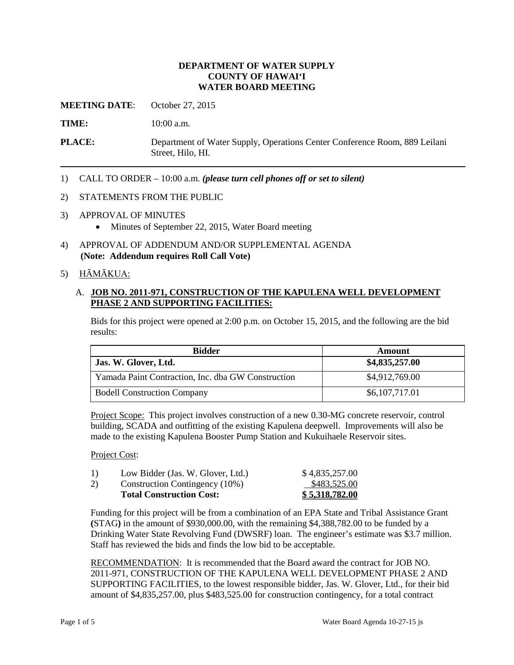#### **DEPARTMENT OF WATER SUPPLY COUNTY OF HAWAI'I WATER BOARD MEETING**

**MEETING DATE:** October 27, 2015

TIME: **10:00 a.m.** 

**PLACE:** Department of Water Supply, Operations Center Conference Room, 889 Leilani Street, Hilo, HI.

1) CALL TO ORDER – 10:00 a.m. *(please turn cell phones off or set to silent)* 

#### 2) STATEMENTS FROM THE PUBLIC

- 3) APPROVAL OF MINUTES
	- Minutes of September 22, 2015, Water Board meeting
- 4) APPROVAL OF ADDENDUM AND/OR SUPPLEMENTAL AGENDA **(Note: Addendum requires Roll Call Vote)**

#### 5) HĀMĀKUA:

## A. **JOB NO. 2011-971, CONSTRUCTION OF THE KAPULENA WELL DEVELOPMENT PHASE 2 AND SUPPORTING FACILITIES:**

Bids for this project were opened at 2:00 p.m. on October 15, 2015, and the following are the bid results:

| <b>Bidder</b>                                      | Amount         |  |
|----------------------------------------------------|----------------|--|
| Jas. W. Glover, Ltd.                               | \$4,835,257.00 |  |
| Yamada Paint Contraction, Inc. dba GW Construction | \$4,912,769.00 |  |
| <b>Bodell Construction Company</b>                 | \$6,107,717.01 |  |

Project Scope: This project involves construction of a new 0.30-MG concrete reservoir, control building, SCADA and outfitting of the existing Kapulena deepwell. Improvements will also be made to the existing Kapulena Booster Pump Station and Kukuihaele Reservoir sites.

#### Project Cost:

|    | <b>Total Construction Cost:</b>   | \$5,318,782.00 |
|----|-----------------------------------|----------------|
| 2) | Construction Contingency (10%)    | \$483,525.00   |
| 1) | Low Bidder (Jas. W. Glover, Ltd.) | \$4,835,257.00 |

 Funding for this project will be from a combination of an EPA State and Tribal Assistance Grant **(**STAG**)** in the amount of \$930,000.00, with the remaining \$4,388,782.00 to be funded by a Drinking Water State Revolving Fund (DWSRF) loan. The engineer's estimate was \$3.7 million. Staff has reviewed the bids and finds the low bid to be acceptable.

RECOMMENDATION: It is recommended that the Board award the contract for JOB NO. SUPPORTING FACILITIES, to the lowest responsible bidder, Jas. W. Glover, Ltd., for their bid 2011-971, CONSTRUCTION OF THE KAPULENA WELL DEVELOPMENT PHASE 2 AND amount of \$4,835,257.00, plus \$483,525.00 for construction contingency, for a total contract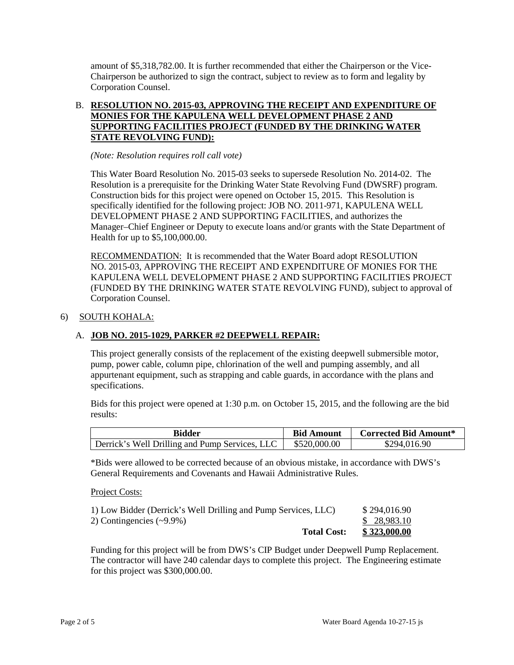amount of \$5,318,782.00. It is further recommended that either the Chairperson or the Vice-Chairperson be authorized to sign the contract, subject to review as to form and legality by Corporation Counsel.

## B. **RESOLUTION NO. 2015-03, APPROVING THE RECEIPT AND EXPENDITURE OF MONIES FOR THE KAPULENA WELL DEVELOPMENT PHASE 2 AND SUPPORTING FACILITIES PROJECT (FUNDED BY THE DRINKING WATER STATE REVOLVING FUND):**

*(Note: Resolution requires roll call vote)* 

 Resolution is a prerequisite for the Drinking Water State Revolving Fund (DWSRF) program. This Water Board Resolution No. 2015-03 seeks to supersede Resolution No. 2014-02. The Construction bids for this project were opened on October 15, 2015. This Resolution is specifically identified for the following project: JOB NO. 2011-971, KAPULENA WELL DEVELOPMENT PHASE 2 AND SUPPORTING FACILITIES, and authorizes the Manager–Chief Engineer or Deputy to execute loans and/or grants with the State Department of Health for up to \$5,100,000.00.

RECOMMENDATION: It is recommended that the Water Board adopt RESOLUTION NO. 2015-03, APPROVING THE RECEIPT AND EXPENDITURE OF MONIES FOR THE KAPULENA WELL DEVELOPMENT PHASE 2 AND SUPPORTING FACILITIES PROJECT (FUNDED BY THE DRINKING WATER STATE REVOLVING FUND), subject to approval of Corporation Counsel.

## 6) SOUTH KOHALA:

## A. **JOB NO. 2015-1029, PARKER #2 DEEPWELL REPAIR:**

 pump, power cable, column pipe, chlorination of the well and pumping assembly, and all appurtenant equipment, such as strapping and cable guards, in accordance with the plans and This project generally consists of the replacement of the existing deepwell submersible motor, specifications.

Bids for this project were opened at 1:30 p.m. on October 15, 2015, and the following are the bid results:

| Bidder                                         | <b>Bid Amount</b> | <b>Corrected Bid Amount*</b> |
|------------------------------------------------|-------------------|------------------------------|
| Derrick's Well Drilling and Pump Services, LLC | \$520,000.00      | \$294,016.90                 |

\*Bids were allowed to be corrected because of an obvious mistake, in accordance with DWS's General Requirements and Covenants and Hawaii Administrative Rules.

#### Project Costs:

| <b>Total Cost:</b>                                             | <u>\$323,000.00</u> |
|----------------------------------------------------------------|---------------------|
| 2) Contingencies $(\sim 9.9\%)$                                | \$ 28,983.10        |
| 1) Low Bidder (Derrick's Well Drilling and Pump Services, LLC) | \$294,016.90        |

Funding for this project will be from DWS's CIP Budget under Deepwell Pump Replacement. The contractor will have 240 calendar days to complete this project. The Engineering estimate for this project was \$300,000.00.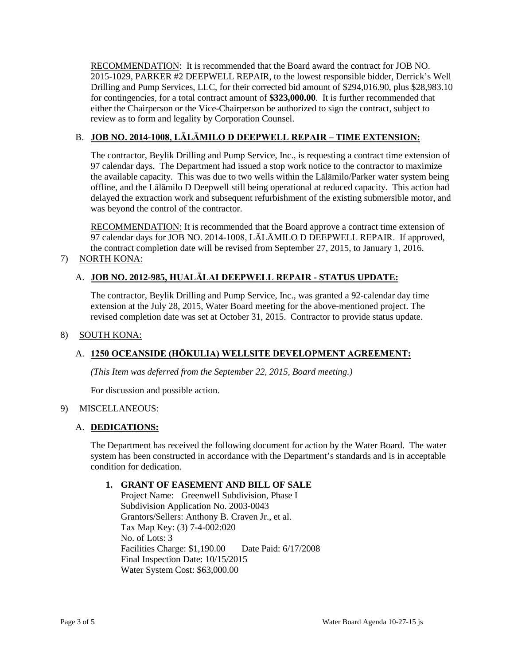RECOMMENDATION: It is recommended that the Board award the contract for JOB NO. 2015-1029, PARKER #2 DEEPWELL REPAIR, to the lowest responsible bidder, Derrick's Well Drilling and Pump Services, LLC, for their corrected bid amount of \$294,016.90, plus \$28,983.10 for contingencies, for a total contract amount of **\$323,000.00**. It is further recommended that either the Chairperson or the Vice-Chairperson be authorized to sign the contract, subject to review as to form and legality by Corporation Counsel.

## B. **JOB NO. 2014-1008, LĀLĀMILO D DEEPWELL REPAIR – TIME EXTENSION:**

 97 calendar days. The Department had issued a stop work notice to the contractor to maximize offline, and the Lālāmilo D Deepwell still being operational at reduced capacity. This action had The contractor, Beylik Drilling and Pump Service, Inc., is requesting a contract time extension of the available capacity. This was due to two wells within the Lālāmilo/Parker water system being delayed the extraction work and subsequent refurbishment of the existing submersible motor, and was beyond the control of the contractor.

RECOMMENDATION: It is recommended that the Board approve a contract time extension of 97 calendar days for JOB NO. 2014-1008, LĀLĀMILO D DEEPWELL REPAIR. If approved, the contract completion date will be revised from September 27, 2015, to January 1, 2016. 7) NORTH KONA:

# A. **JOB NO. 2012-985, HUALĀLAI DEEPWELL REPAIR - STATUS UPDATE:**

The contractor, Beylik Drilling and Pump Service, Inc., was granted a 92-calendar day time extension at the July 28, 2015, Water Board meeting for the above-mentioned project. The revised completion date was set at October 31, 2015. Contractor to provide status update.

## 8) SOUTH KONA:

# A. **1250 OCEANSIDE (HŌKULIA) WELLSITE DEVELOPMENT AGREEMENT:**

*(This Item was deferred from the September 22, 2015, Board meeting.)* 

For discussion and possible action.

#### 9) MISCELLANEOUS:

#### A. **DEDICATIONS:**

 system has been constructed in accordance with the Department's standards and is in acceptable The Department has received the following document for action by the Water Board. The water condition for dedication.

## **1. GRANT OF EASEMENT AND BILL OF SALE**

 No. of Lots: 3 Final Inspection Date: 10/15/2015 Project Name: Greenwell Subdivision, Phase I Subdivision Application No. 2003-0043 Grantors/Sellers: Anthony B. Craven Jr., et al. Tax Map Key: (3) 7-4-002:020 Facilities Charge: \$1,190.00 Date Paid: 6/17/2008 Water System Cost: \$63,000.00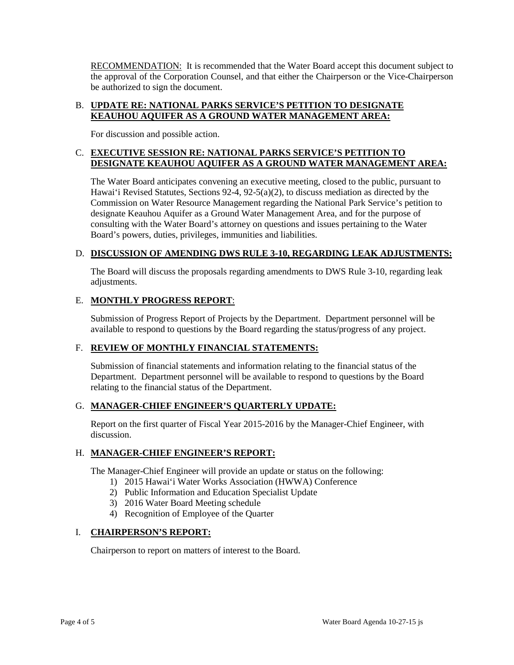RECOMMENDATION: It is recommended that the Water Board accept this document subject to the approval of the Corporation Counsel, and that either the Chairperson or the Vice-Chairperson be authorized to sign the document.

## B. **UPDATE RE: NATIONAL PARKS SERVICE'S PETITION TO DESIGNATE KEAUHOU AQUIFER AS A GROUND WATER MANAGEMENT AREA:**

For discussion and possible action.

# C. **EXECUTIVE SESSION RE: NATIONAL PARKS SERVICE'S PETITION TO DESIGNATE KEAUHOU AQUIFER AS A GROUND WATER MANAGEMENT AREA:**

 Hawai'i Revised Statutes, Sections 92-4, 92-5(a)(2), to discuss mediation as directed by the Commission on Water Resource Management regarding the National Park Service's petition to consulting with the Water Board's attorney on questions and issues pertaining to the Water The Water Board anticipates convening an executive meeting, closed to the public, pursuant to designate Keauhou Aquifer as a Ground Water Management Area, and for the purpose of Board's powers, duties, privileges, immunities and liabilities.

## D. **DISCUSSION OF AMENDING DWS RULE 3-10, REGARDING LEAK ADJUSTMENTS:**

 The Board will discuss the proposals regarding amendments to DWS Rule 3-10, regarding leak adjustments.

# E. **MONTHLY PROGRESS REPORT**:

 available to respond to questions by the Board regarding the status/progress of any project. Submission of Progress Report of Projects by the Department. Department personnel will be

#### F. **REVIEW OF MONTHLY FINANCIAL STATEMENTS:**

 Submission of financial statements and information relating to the financial status of the relating to the financial status of the Department. Department. Department personnel will be available to respond to questions by the Board

#### G. **MANAGER-CHIEF ENGINEER'S QUARTERLY UPDATE:**

 Report on the first quarter of Fiscal Year 2015-2016 by the Manager-Chief Engineer, with discussion.

### H. **MANAGER-CHIEF ENGINEER'S REPORT:**

The Manager-Chief Engineer will provide an update or status on the following:

- 1) 2015 Hawai'i Water Works Association (HWWA) Conference
- 2) Public Information and Education Specialist Update
- 3) 2016 Water Board Meeting schedule
- 4) Recognition of Employee of the Quarter

#### I. **CHAIRPERSON'S REPORT:**

Chairperson to report on matters of interest to the Board.